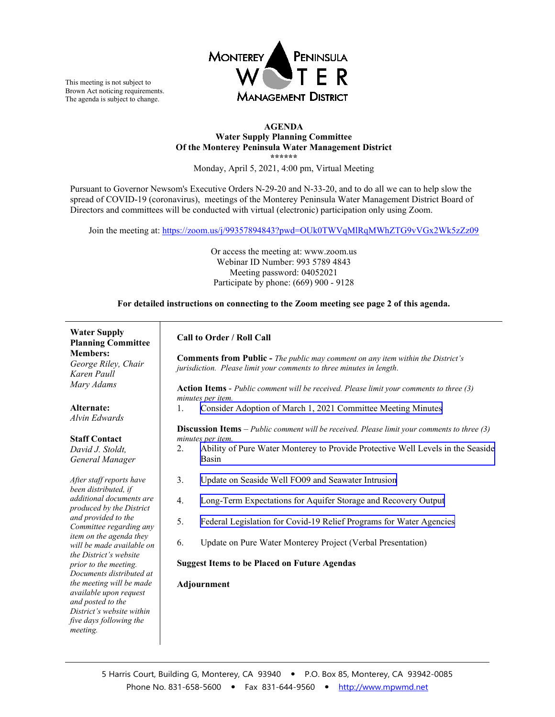

This meeting is not subject to Brown Act noticing requirements. The agenda is subject to change.

#### **AGENDA Water Supply Planning Committee Of the Monterey Peninsula Water Management District \*\*\*\*\*\***

Monday, April 5, 2021, 4:00 pm, Virtual Meeting

Pursuant to Governor Newsom's Executive Orders N-29-20 and N-33-20, and to do all we can to help slow the spread of COVID-19 (coronavirus), meetings of the Monterey Peninsula Water Management District Board of Directors and committees will be conducted with virtual (electronic) participation only using Zoom.

Join the meeting at: https://zoom.us/j/99357894843?pwd=OUk0TWVqMlRqMWhZTG9vVGx2Wk5zZz09

Or access the meeting at: www.zoom.us Webinar ID Number: 993 5789 4843 Meeting password: 04052021 Participate by phone: (669) 900 - 9128

**For detailed instructions on connecting to the Zoom meeting see page 2 of this agenda.**

### **Water Supply**

**Planning Committee Members:** *George Riley, Chair Karen Paull Mary Adams*

**Alternate:** *Alvin Edwards*

#### **Staff Contact**

*David J. Stoldt, General Manager*

*After staff reports have been distributed, if additional documents are produced by the District and provided to the Committee regarding any item on the agenda they will be made available on the District's website prior to the meeting. Documents distributed at the meeting will be made available upon request and posted to the District's website within five days following the meeting.*

#### **Call to Order / Roll Call**

**Comments from Public -** *The public may comment on any item within the District's jurisdiction. Please limit your comments to three minutes in length*.

**Action Items** - *Public comment will be received. Please limit your comments to three (3) minutes per item.*

1. [Consider Adoption of March 1, 2021](#page-3-0) Committee Meeting Minutes

#### **Discussion Items** *– Public comment will be received. Please limit your comments to three (3) minutes per item.*

- 2. [Ability of Pure Water Monterey to Provide Protective Well Levels in the Seaside](#page-6-0)  Basin
- 3. [Update on Seaside Well FO09 and Seawater Intrusion](#page-9-0)
- 4. [Long-Term Expectations for Aquifer Storage and Recovery Output](#page-11-0)
- 5. [Federal Legislation for Covid-19 Relief Programs for Water Agencies](#page-14-0)
- 6. Update on Pure Water Monterey Project (Verbal Presentation)

#### **Suggest Items to be Placed on Future Agendas**

#### **Adjournment**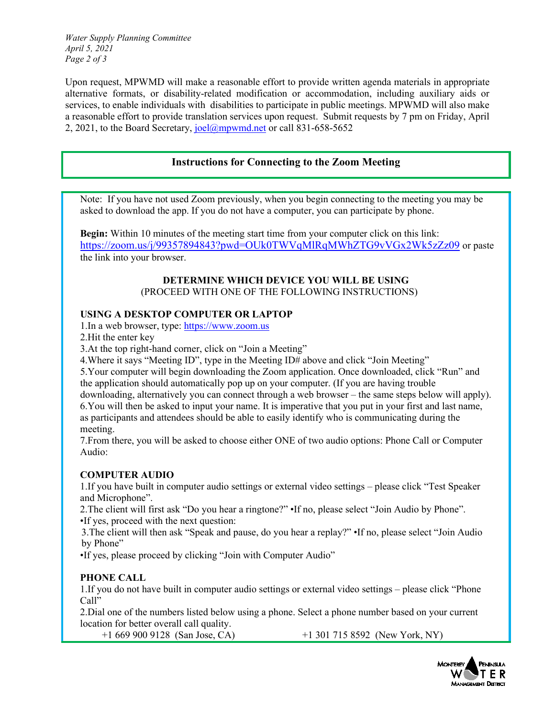*Water Supply Planning Committee April 5, 2021 Page 2 of 3*

Upon request, MPWMD will make a reasonable effort to provide written agenda materials in appropriate alternative formats, or disability-related modification or accommodation, including auxiliary aids or services, to enable individuals with disabilities to participate in public meetings. MPWMD will also make a reasonable effort to provide translation services upon request. Submit requests by 7 pm on Friday, April 2, 2021, to the Board Secretary[, joel@mpwmd.net](mailto:joel@mpwmd.net) or call 831-658-5652

### **Instructions for Connecting to the Zoom Meeting**

Note: If you have not used Zoom previously, when you begin connecting to the meeting you may be asked to download the app. If you do not have a computer, you can participate by phone.

**Begin:** Within 10 minutes of the meeting start time from your computer click on this link: <https://zoom.us/j/99357894843?pwd=OUk0TWVqMlRqMWhZTG9vVGx2Wk5zZz09> or paste the link into your browser.

### **DETERMINE WHICH DEVICE YOU WILL BE USING** (PROCEED WITH ONE OF THE FOLLOWING INSTRUCTIONS)

### **USING A DESKTOP COMPUTER OR LAPTOP**

1.In a web browser, type: [https://www.zoom.us](https://www.zoom.us/) 

2.Hit the enter key

3.At the top right-hand corner, click on "Join a Meeting"

4.Where it says "Meeting ID", type in the Meeting ID# above and click "Join Meeting"

5.Your computer will begin downloading the Zoom application. Once downloaded, click "Run" and

the application should automatically pop up on your computer. (If you are having trouble

downloading, alternatively you can connect through a web browser – the same steps below will apply). 6.You will then be asked to input your name. It is imperative that you put in your first and last name, as participants and attendees should be able to easily identify who is communicating during the meeting.

7.From there, you will be asked to choose either ONE of two audio options: Phone Call or Computer Audio:

### **COMPUTER AUDIO**

1.If you have built in computer audio settings or external video settings – please click "Test Speaker and Microphone".

2.The client will first ask "Do you hear a ringtone?" •If no, please select "Join Audio by Phone". •If yes, proceed with the next question:

3.The client will then ask "Speak and pause, do you hear a replay?" •If no, please select "Join Audio by Phone"

•If yes, please proceed by clicking "Join with Computer Audio"

## **PHONE CALL**

1.If you do not have built in computer audio settings or external video settings – please click "Phone Call"

2.Dial one of the numbers listed below using a phone. Select a phone number based on your current location for better overall call quality.

+1 669 900 9128 (San Jose, CA) +1 301 715 8592 (New York, NY)

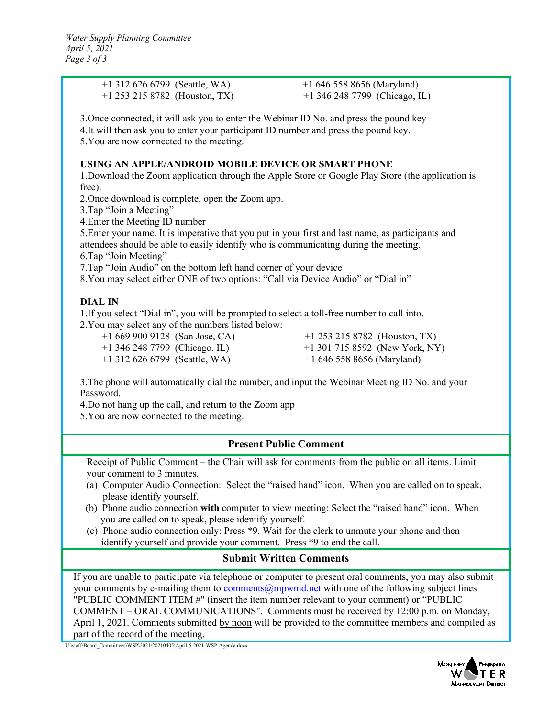| $+1$ 312 626 6799 (Seattle, WA)                                                                                                                                                       | $+16465588656$ (Maryland)        |  |  |
|---------------------------------------------------------------------------------------------------------------------------------------------------------------------------------------|----------------------------------|--|--|
| $+1$ 253 215 8782 (Houston, TX)                                                                                                                                                       | +1 346 248 7799 (Chicago, IL)    |  |  |
| 3. Once connected, it will ask you to enter the Webinar ID No. and press the pound key                                                                                                |                                  |  |  |
| 4.It will then ask you to enter your participant ID number and press the pound key.                                                                                                   |                                  |  |  |
| 5. You are now connected to the meeting.                                                                                                                                              |                                  |  |  |
| USING AN APPLE/ANDROID MOBILE DEVICE OR SMART PHONE                                                                                                                                   |                                  |  |  |
| 1. Download the Zoom application through the Apple Store or Google Play Store (the application is                                                                                     |                                  |  |  |
| free).                                                                                                                                                                                |                                  |  |  |
| 2. Once download is complete, open the Zoom app.                                                                                                                                      |                                  |  |  |
| 3. Tap "Join a Meeting"<br>4. Enter the Meeting ID number                                                                                                                             |                                  |  |  |
| 5. Enter your name. It is imperative that you put in your first and last name, as participants and                                                                                    |                                  |  |  |
| attendees should be able to easily identify who is communicating during the meeting.                                                                                                  |                                  |  |  |
| 6. Tap "Join Meeting"                                                                                                                                                                 |                                  |  |  |
| 7. Tap "Join Audio" on the bottom left hand corner of your device<br>8. You may select either ONE of two options: "Call via Device Audio" or "Dial in"                                |                                  |  |  |
|                                                                                                                                                                                       |                                  |  |  |
| <b>DIAL IN</b>                                                                                                                                                                        |                                  |  |  |
| 1. If you select "Dial in", you will be prompted to select a toll-free number to call into.<br>2. You may select any of the numbers listed below:                                     |                                  |  |  |
| $+16699009128$ (San Jose, CA)                                                                                                                                                         | $+1$ 253 215 8782 (Houston, TX)  |  |  |
| $+1$ 346 248 7799 (Chicago, IL)                                                                                                                                                       | $+1$ 301 715 8592 (New York, NY) |  |  |
| $+1$ 312 626 6799 (Seattle, WA)                                                                                                                                                       | $+16465588656$ (Maryland)        |  |  |
| 3. The phone will automatically dial the number, and input the Webinar Meeting ID No. and your<br>Password.                                                                           |                                  |  |  |
| 4.Do not hang up the call, and return to the Zoom app                                                                                                                                 |                                  |  |  |
| 5. You are now connected to the meeting.                                                                                                                                              |                                  |  |  |
|                                                                                                                                                                                       |                                  |  |  |
| <b>Present Public Comment</b>                                                                                                                                                         |                                  |  |  |
| Receipt of Public Comment – the Chair will ask for comments from the public on all items. Limit                                                                                       |                                  |  |  |
| your comment to 3 minutes.                                                                                                                                                            |                                  |  |  |
| (a) Computer Audio Connection: Select the "raised hand" icon. When you are called on to speak,<br>please identify yourself.                                                           |                                  |  |  |
| (b) Phone audio connection with computer to view meeting: Select the "raised hand" icon. When                                                                                         |                                  |  |  |
| you are called on to speak, please identify yourself.                                                                                                                                 |                                  |  |  |
| (c) Phone audio connection only: Press *9. Wait for the clerk to unmute your phone and then<br>identify yourself and provide your comment. Press *9 to end the call.                  |                                  |  |  |
|                                                                                                                                                                                       |                                  |  |  |
| <b>Submit Written Comments</b>                                                                                                                                                        |                                  |  |  |
| If you are unable to participate via telephone or computer to present oral comments, you may also submit                                                                              |                                  |  |  |
| your comments by e-mailing them to comments@mpwmd.net with one of the following subject lines<br>"PUBLIC COMMENT ITEM #" (insert the item number relevant to your comment) or "PUBLIC |                                  |  |  |
| COMMENT – ORAL COMMUNICATIONS". Comments must be received by 12:00 p.m. on Monday,                                                                                                    |                                  |  |  |
| April 1, 2021. Comments submitted by noon will be provided to the committee members and compiled as                                                                                   |                                  |  |  |

part of the record of the meeting.

U:\staff\Board\_Committees\WSP\2021\20210405\April-5-2021-WSP-Agenda.docx

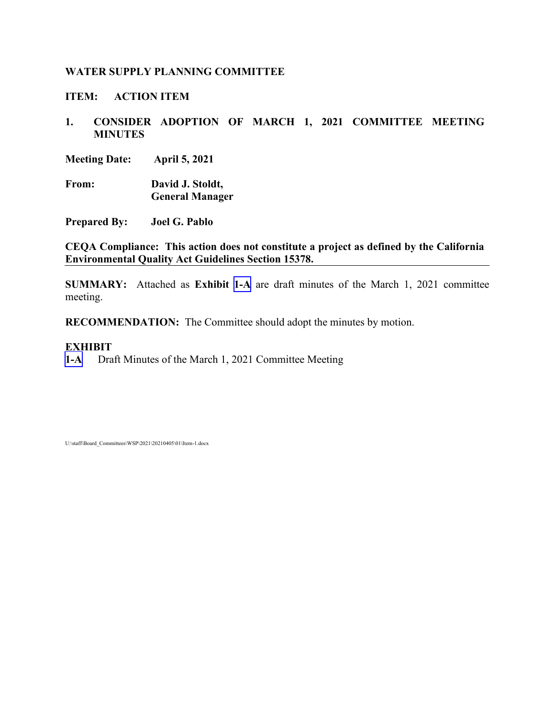<span id="page-3-0"></span>**ITEM: ACTION ITEM**

**1. CONSIDER ADOPTION OF MARCH 1, 2021 COMMITTEE MEETING MINUTES**

**Meeting Date: April 5, 2021**

**From: David J. Stoldt, General Manager**

**Prepared By: Joel G. Pablo**

**CEQA Compliance: This action does not constitute a project as defined by the California Environmental Quality Act Guidelines Section 15378.**

**SUMMARY:** Attached as **Exhibit [1-A](#page-4-0)** are draft minutes of the March 1, 2021 committee meeting.

**RECOMMENDATION:** The Committee should adopt the minutes by motion.

### **EXHIBIT**

**[1-A](#page-4-0)** Draft Minutes of the March 1, 2021 Committee Meeting

U:\staff\Board\_Committees\WSP\2021\20210405\01\Item-1.docx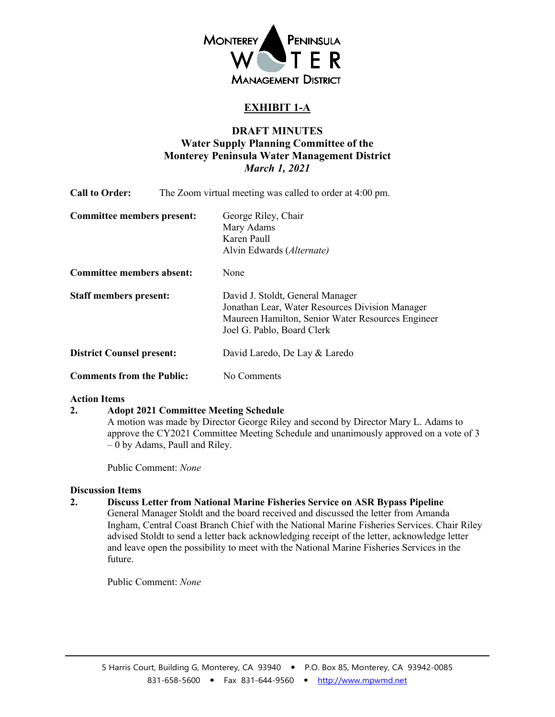

# **EXHIBIT 1-A**

## **DRAFT MINUTES Water Supply Planning Committee of the Monterey Peninsula Water Management District** *March 1, 2021*

<span id="page-4-0"></span>

| <b>Call to Order:</b>             | The Zoom virtual meeting was called to order at 4:00 pm.                                                                                                               |  |
|-----------------------------------|------------------------------------------------------------------------------------------------------------------------------------------------------------------------|--|
| <b>Committee members present:</b> | George Riley, Chair<br>Mary Adams<br>Karen Paull<br>Alvin Edwards (Alternate)                                                                                          |  |
| <b>Committee members absent:</b>  | None                                                                                                                                                                   |  |
| <b>Staff members present:</b>     | David J. Stoldt, General Manager<br>Jonathan Lear, Water Resources Division Manager<br>Maureen Hamilton, Senior Water Resources Engineer<br>Joel G. Pablo, Board Clerk |  |
| <b>District Counsel present:</b>  | David Laredo, De Lay & Laredo                                                                                                                                          |  |
| <b>Comments from the Public:</b>  | No Comments                                                                                                                                                            |  |

### **Action Items**

### **2. Adopt 2021 Committee Meeting Schedule**

A motion was made by Director George Riley and second by Director Mary L. Adams to approve the CY2021 Committee Meeting Schedule and unanimously approved on a vote of 3 – 0 by Adams, Paull and Riley.

Public Comment: *None*

### **Discussion Items**

### **2. Discuss Letter from National Marine Fisheries Service on ASR Bypass Pipeline**

General Manager Stoldt and the board received and discussed the letter from Amanda Ingham, Central Coast Branch Chief with the National Marine Fisheries Services. Chair Riley advised Stoldt to send a letter back acknowledging receipt of the letter, acknowledge letter and leave open the possibility to meet with the National Marine Fisheries Services in the future.

Public Comment: *None*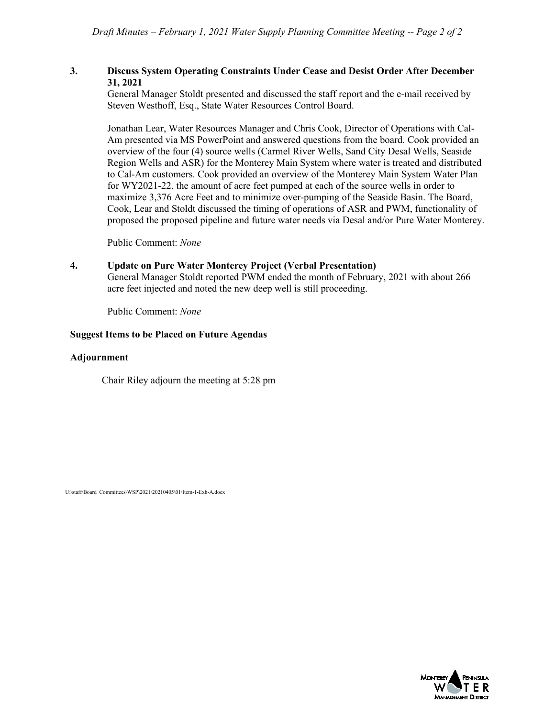### **3. Discuss System Operating Constraints Under Cease and Desist Order After December 31, 2021**

General Manager Stoldt presented and discussed the staff report and the e-mail received by Steven Westhoff, Esq., State Water Resources Control Board.

Jonathan Lear, Water Resources Manager and Chris Cook, Director of Operations with Cal-Am presented via MS PowerPoint and answered questions from the board. Cook provided an overview of the four (4) source wells (Carmel River Wells, Sand City Desal Wells, Seaside Region Wells and ASR) for the Monterey Main System where water is treated and distributed to Cal-Am customers. Cook provided an overview of the Monterey Main System Water Plan for WY2021-22, the amount of acre feet pumped at each of the source wells in order to maximize 3,376 Acre Feet and to minimize over-pumping of the Seaside Basin. The Board, Cook, Lear and Stoldt discussed the timing of operations of ASR and PWM, functionality of proposed the proposed pipeline and future water needs via Desal and/or Pure Water Monterey.

Public Comment: *None*

### **4. Update on Pure Water Monterey Project (Verbal Presentation)**

General Manager Stoldt reported PWM ended the month of February, 2021 with about 266 acre feet injected and noted the new deep well is still proceeding.

Public Comment: *None*

### **Suggest Items to be Placed on Future Agendas**

#### **Adjournment**

Chair Riley adjourn the meeting at 5:28 pm

U:\staff\Board\_Committees\WSP\2021\20210405\01\Item-1-Exh-A.docx

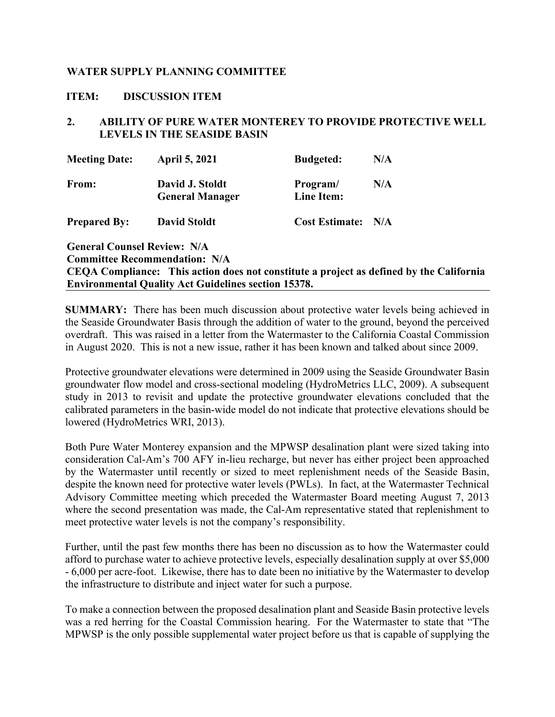### <span id="page-6-0"></span>**ITEM: DISCUSSION ITEM**

## **2. ABILITY OF PURE WATER MONTEREY TO PROVIDE PROTECTIVE WELL LEVELS IN THE SEASIDE BASIN**

| <b>Meeting Date:</b>               | <b>April 5, 2021</b>                                                    | <b>Budgeted:</b>      | N/A |
|------------------------------------|-------------------------------------------------------------------------|-----------------------|-----|
| From:                              | David J. Stoldt                                                         | Program/              | N/A |
|                                    | <b>General Manager</b>                                                  | Line Item:            |     |
| <b>Prepared By:</b>                | <b>David Stoldt</b>                                                     | <b>Cost Estimate:</b> | N/A |
| <b>General Counsel Review: N/A</b> |                                                                         |                       |     |
|                                    | <b>Committee Recommendation: N/A</b>                                    |                       |     |
|                                    | CEOA Compliance: This action does not constitute a project as defined b |                       |     |

**CAL** California **Environmental Quality Act Guidelines section 15378.**

**SUMMARY:** There has been much discussion about protective water levels being achieved in the Seaside Groundwater Basis through the addition of water to the ground, beyond the perceived overdraft. This was raised in a letter from the Watermaster to the California Coastal Commission in August 2020. This is not a new issue, rather it has been known and talked about since 2009.

Protective groundwater elevations were determined in 2009 using the Seaside Groundwater Basin groundwater flow model and cross-sectional modeling (HydroMetrics LLC, 2009). A subsequent study in 2013 to revisit and update the protective groundwater elevations concluded that the calibrated parameters in the basin-wide model do not indicate that protective elevations should be lowered (HydroMetrics WRI, 2013).

Both Pure Water Monterey expansion and the MPWSP desalination plant were sized taking into consideration Cal-Am's 700 AFY in-lieu recharge, but never has either project been approached by the Watermaster until recently or sized to meet replenishment needs of the Seaside Basin, despite the known need for protective water levels (PWLs). In fact, at the Watermaster Technical Advisory Committee meeting which preceded the Watermaster Board meeting August 7, 2013 where the second presentation was made, the Cal-Am representative stated that replenishment to meet protective water levels is not the company's responsibility.

Further, until the past few months there has been no discussion as to how the Watermaster could afford to purchase water to achieve protective levels, especially desalination supply at over \$5,000 - 6,000 per acre-foot. Likewise, there has to date been no initiative by the Watermaster to develop the infrastructure to distribute and inject water for such a purpose.

To make a connection between the proposed desalination plant and Seaside Basin protective levels was a red herring for the Coastal Commission hearing. For the Watermaster to state that "The MPWSP is the only possible supplemental water project before us that is capable of supplying the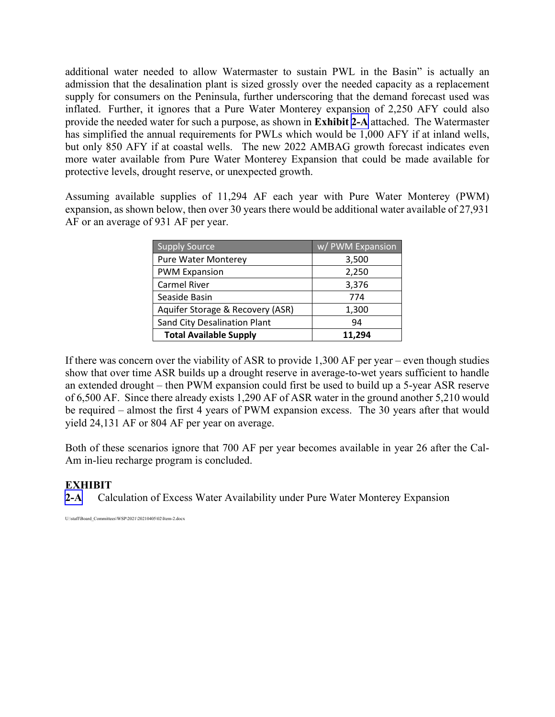additional water needed to allow Watermaster to sustain PWL in the Basin" is actually an admission that the desalination plant is sized grossly over the needed capacity as a replacement supply for consumers on the Peninsula, further underscoring that the demand forecast used was inflated. Further, it ignores that a Pure Water Monterey expansion of 2,250 AFY could also provide the needed water for such a purpose, as shown in **Exhibit [2-A](#page-8-0)** attached. The Watermaster has simplified the annual requirements for PWLs which would be 1,000 AFY if at inland wells, but only 850 AFY if at coastal wells. The new 2022 AMBAG growth forecast indicates even more water available from Pure Water Monterey Expansion that could be made available for protective levels, drought reserve, or unexpected growth.

Assuming available supplies of 11,294 AF each year with Pure Water Monterey (PWM) expansion, as shown below, then over 30 years there would be additional water available of 27,931 AF or an average of 931 AF per year.

| <b>Supply Source</b>                | w/ PWM Expansion |
|-------------------------------------|------------------|
| <b>Pure Water Monterey</b>          | 3,500            |
| <b>PWM Expansion</b>                | 2,250            |
| Carmel River                        | 3,376            |
| Seaside Basin                       | 774              |
| Aquifer Storage & Recovery (ASR)    | 1,300            |
| <b>Sand City Desalination Plant</b> | 94               |
| <b>Total Available Supply</b>       | 11,294           |

If there was concern over the viability of ASR to provide 1,300 AF per year – even though studies show that over time ASR builds up a drought reserve in average-to-wet years sufficient to handle an extended drought – then PWM expansion could first be used to build up a 5-year ASR reserve of 6,500 AF. Since there already exists 1,290 AF of ASR water in the ground another 5,210 would be required – almost the first 4 years of PWM expansion excess. The 30 years after that would yield 24,131 AF or 804 AF per year on average.

Both of these scenarios ignore that 700 AF per year becomes available in year 26 after the Cal-Am in-lieu recharge program is concluded.

# **EXHIBIT**

**[2-A](#page-8-0)** Calculation of Excess Water Availability under Pure Water Monterey Expansion

U:\staff\Board\_Committees\WSP\2021\20210405\02\Item-2.docx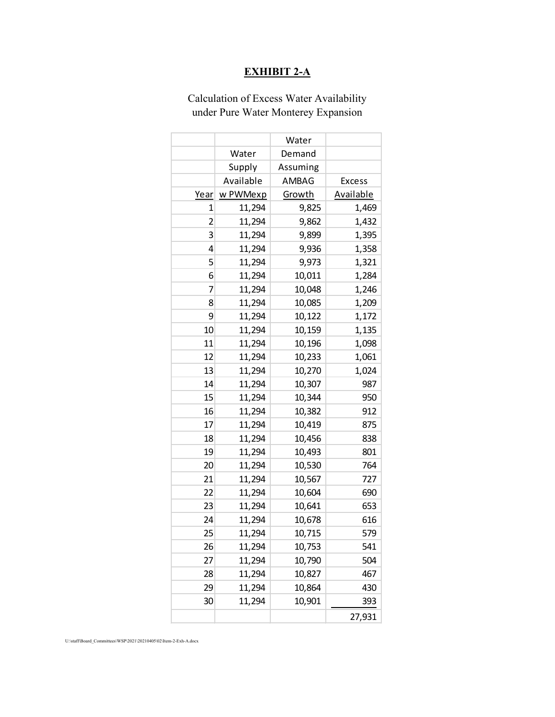# **EXHIBIT 2-A**

# <span id="page-8-0"></span>Calculation of Excess Water Availability under Pure Water Monterey Expansion

|                         |           | Water    |           |
|-------------------------|-----------|----------|-----------|
|                         | Water     | Demand   |           |
|                         | Supply    | Assuming |           |
|                         | Available | AMBAG    | Excess    |
| Year                    | w PWMexp  | Growth   | Available |
| 1                       | 11,294    | 9,825    | 1,469     |
| $\overline{\mathbf{c}}$ | 11,294    | 9,862    | 1,432     |
| 3                       | 11,294    | 9,899    | 1,395     |
| 4                       | 11,294    | 9,936    | 1,358     |
| 5                       | 11,294    | 9,973    | 1,321     |
| 6                       | 11,294    | 10,011   | 1,284     |
| 7                       | 11,294    | 10,048   | 1,246     |
| 8                       | 11,294    | 10,085   | 1,209     |
| 9                       | 11,294    | 10,122   | 1,172     |
| 10                      | 11,294    | 10,159   | 1,135     |
| 11                      | 11,294    | 10,196   | 1,098     |
| 12                      | 11,294    | 10,233   | 1,061     |
| 13                      | 11,294    | 10,270   | 1,024     |
| 14                      | 11,294    | 10,307   | 987       |
| 15                      | 11,294    | 10,344   | 950       |
| 16                      | 11,294    | 10,382   | 912       |
| 17                      | 11,294    | 10,419   | 875       |
| 18                      | 11,294    | 10,456   | 838       |
| 19                      | 11,294    | 10,493   | 801       |
| 20                      | 11,294    | 10,530   | 764       |
| 21                      | 11,294    | 10,567   | 727       |
| 22                      | 11,294    | 10,604   | 690       |
| 23                      | 11,294    | 10,641   | 653       |
| 24                      | 11,294    | 10,678   | 616       |
| 25                      | 11,294    | 10,715   | 579       |
| 26                      | 11,294    | 10,753   | 541       |
| 27                      | 11,294    | 10,790   | 504       |
| 28                      | 11,294    | 10,827   | 467       |
| 29                      | 11,294    | 10,864   | 430       |
| 30                      | 11,294    | 10,901   | 393       |
|                         |           |          | 27,931    |

U:\staff\Board\_Committees\WSP\2021\20210405\02\Item-2-Exh-A.docx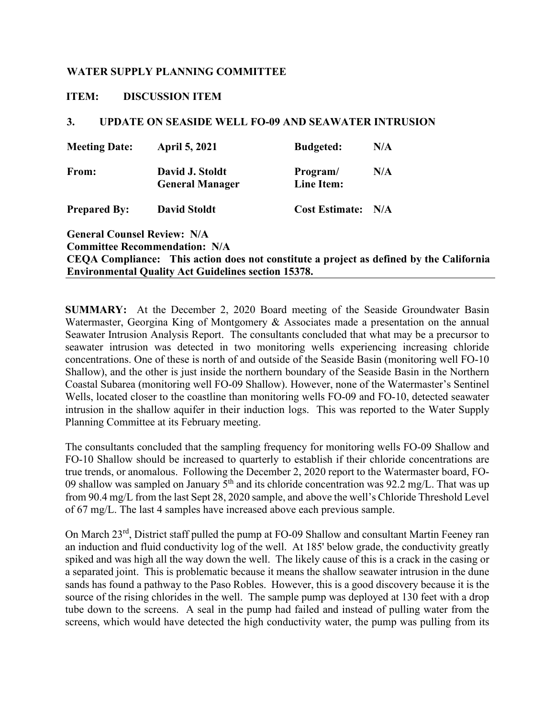### <span id="page-9-0"></span>**ITEM: DISCUSSION ITEM**

### **3. UPDATE ON SEASIDE WELL FO-09 AND SEAWATER INTRUSION**

| <b>Meeting Date:</b>               | <b>April 5, 2021</b>                      | <b>Budgeted:</b>       | N/A |
|------------------------------------|-------------------------------------------|------------------------|-----|
| From:                              | David J. Stoldt<br><b>General Manager</b> | Program/<br>Line Item: | N/A |
| <b>Prepared By:</b>                | <b>David Stoldt</b>                       | <b>Cost Estimate:</b>  | N/A |
| <b>General Counsel Review: N/A</b> |                                           |                        |     |

**Committee Recommendation: N/A CEQA Compliance: This action does not constitute a project as defined by the California Environmental Quality Act Guidelines section 15378.**

**SUMMARY:** At the December 2, 2020 Board meeting of the Seaside Groundwater Basin Watermaster, Georgina King of Montgomery & Associates made a presentation on the annual Seawater Intrusion Analysis Report. The consultants concluded that what may be a precursor to seawater intrusion was detected in two monitoring wells experiencing increasing chloride concentrations. One of these is north of and outside of the Seaside Basin (monitoring well FO-10 Shallow), and the other is just inside the northern boundary of the Seaside Basin in the Northern Coastal Subarea (monitoring well FO-09 Shallow). However, none of the Watermaster's Sentinel Wells, located closer to the coastline than monitoring wells FO-09 and FO-10, detected seawater intrusion in the shallow aquifer in their induction logs. This was reported to the Water Supply Planning Committee at its February meeting.

The consultants concluded that the sampling frequency for monitoring wells FO-09 Shallow and FO-10 Shallow should be increased to quarterly to establish if their chloride concentrations are true trends, or anomalous. Following the December 2, 2020 report to the Watermaster board, FO-09 shallow was sampled on January  $5<sup>th</sup>$  and its chloride concentration was 92.2 mg/L. That was up from 90.4 mg/L from the last Sept 28, 2020 sample, and above the well's Chloride Threshold Level of 67 mg/L. The last 4 samples have increased above each previous sample.

On March 23rd, District staff pulled the pump at FO-09 Shallow and consultant Martin Feeney ran an induction and fluid conductivity log of the well. At 185' below grade, the conductivity greatly spiked and was high all the way down the well. The likely cause of this is a crack in the casing or a separated joint. This is problematic because it means the shallow seawater intrusion in the dune sands has found a pathway to the Paso Robles. However, this is a good discovery because it is the source of the rising chlorides in the well. The sample pump was deployed at 130 feet with a drop tube down to the screens. A seal in the pump had failed and instead of pulling water from the screens, which would have detected the high conductivity water, the pump was pulling from its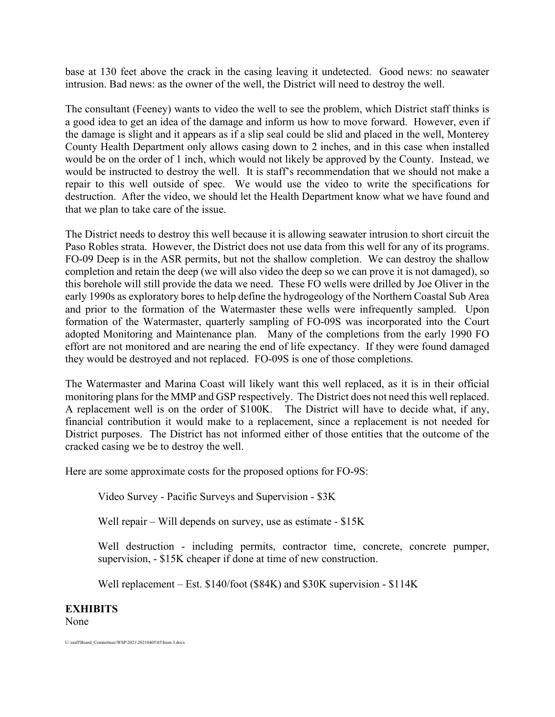base at 130 feet above the crack in the casing leaving it undetected. Good news: no seawater intrusion. Bad news: as the owner of the well, the District will need to destroy the well.

The consultant (Feeney) wants to video the well to see the problem, which District staff thinks is a good idea to get an idea of the damage and inform us how to move forward. However, even if the damage is slight and it appears as if a slip seal could be slid and placed in the well, Monterey County Health Department only allows casing down to 2 inches, and in this case when installed would be on the order of 1 inch, which would not likely be approved by the County. Instead, we would be instructed to destroy the well. It is staff's recommendation that we should not make a repair to this well outside of spec. We would use the video to write the specifications for destruction. After the video, we should let the Health Department know what we have found and that we plan to take care of the issue.

The District needs to destroy this well because it is allowing seawater intrusion to short circuit the Paso Robles strata. However, the District does not use data from this well for any of its programs. FO-09 Deep is in the ASR permits, but not the shallow completion. We can destroy the shallow completion and retain the deep (we will also video the deep so we can prove it is not damaged), so this borehole will still provide the data we need. These FO wells were drilled by Joe Oliver in the early 1990s as exploratory bores to help define the hydrogeology of the Northern Coastal Sub Area and prior to the formation of the Watermaster these wells were infrequently sampled. Upon formation of the Watermaster, quarterly sampling of FO-09S was incorporated into the Court adopted Monitoring and Maintenance plan. Many of the completions from the early 1990 FO effort are not monitored and are nearing the end of life expectancy. If they were found damaged they would be destroyed and not replaced. FO-09S is one of those completions.

The Watermaster and Marina Coast will likely want this well replaced, as it is in their official monitoring plans for the MMP and GSP respectively. The District does not need this well replaced. A replacement well is on the order of \$100K. The District will have to decide what, if any, financial contribution it would make to a replacement, since a replacement is not needed for District purposes. The District has not informed either of those entities that the outcome of the cracked casing we be to destroy the well.

Here are some approximate costs for the proposed options for FO-9S:

Video Survey - Pacific Surveys and Supervision - \$3K

Well repair – Will depends on survey, use as estimate -  $$15K$ 

Well destruction - including permits, contractor time, concrete, concrete pumper, supervision, - \$15K cheaper if done at time of new construction.

Well replacement – Est. \$140/foot (\$84K) and \$30K supervision - \$114K

## **EXHIBITS**

None

U:\staff\Board\_Committees\WSP\2021\20210405\03\Item-3.docx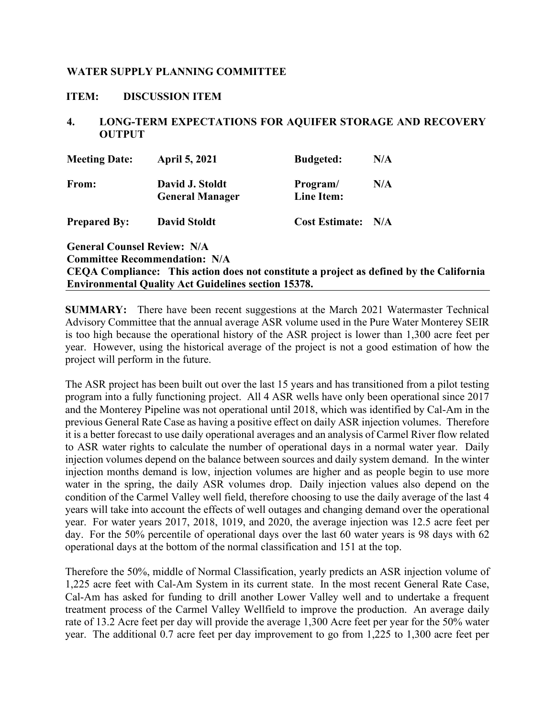### <span id="page-11-0"></span>**ITEM: DISCUSSION ITEM**

### **4. LONG-TERM EXPECTATIONS FOR AQUIFER STORAGE AND RECOVERY OUTPUT**

| <b>Meeting Date:</b>               | <b>April 5, 2021</b>                                                     | <b>Budgeted:</b>       | N/A |
|------------------------------------|--------------------------------------------------------------------------|------------------------|-----|
| From:                              | David J. Stoldt<br><b>General Manager</b>                                | Program/<br>Line Item: | N/A |
| <b>Prepared By:</b>                | <b>David Stoldt</b>                                                      | <b>Cost Estimate:</b>  | N/A |
| <b>General Counsel Review: N/A</b> |                                                                          |                        |     |
|                                    | <b>Committee Recommendation: N/A</b>                                     |                        |     |
|                                    | CEQA Compliance: This action does not constitute a project as defined by |                        |     |
|                                    | <b>Environmental Quality Act Guidelines section 15378.</b>               |                        |     |

**SUMMARY:** There have been recent suggestions at the March 2021 Watermaster Technical Advisory Committee that the annual average ASR volume used in the Pure Water Monterey SEIR is too high because the operational history of the ASR project is lower than 1,300 acre feet per year. However, using the historical average of the project is not a good estimation of how the project will perform in the future.

**che California** 

The ASR project has been built out over the last 15 years and has transitioned from a pilot testing program into a fully functioning project. All 4 ASR wells have only been operational since 2017 and the Monterey Pipeline was not operational until 2018, which was identified by Cal-Am in the previous General Rate Case as having a positive effect on daily ASR injection volumes. Therefore it is a better forecast to use daily operational averages and an analysis of Carmel River flow related to ASR water rights to calculate the number of operational days in a normal water year. Daily injection volumes depend on the balance between sources and daily system demand. In the winter injection months demand is low, injection volumes are higher and as people begin to use more water in the spring, the daily ASR volumes drop. Daily injection values also depend on the condition of the Carmel Valley well field, therefore choosing to use the daily average of the last 4 years will take into account the effects of well outages and changing demand over the operational year. For water years 2017, 2018, 1019, and 2020, the average injection was 12.5 acre feet per day. For the 50% percentile of operational days over the last 60 water years is 98 days with 62 operational days at the bottom of the normal classification and 151 at the top.

Therefore the 50%, middle of Normal Classification, yearly predicts an ASR injection volume of 1,225 acre feet with Cal-Am System in its current state. In the most recent General Rate Case, Cal-Am has asked for funding to drill another Lower Valley well and to undertake a frequent treatment process of the Carmel Valley Wellfield to improve the production. An average daily rate of 13.2 Acre feet per day will provide the average 1,300 Acre feet per year for the 50% water year. The additional 0.7 acre feet per day improvement to go from 1,225 to 1,300 acre feet per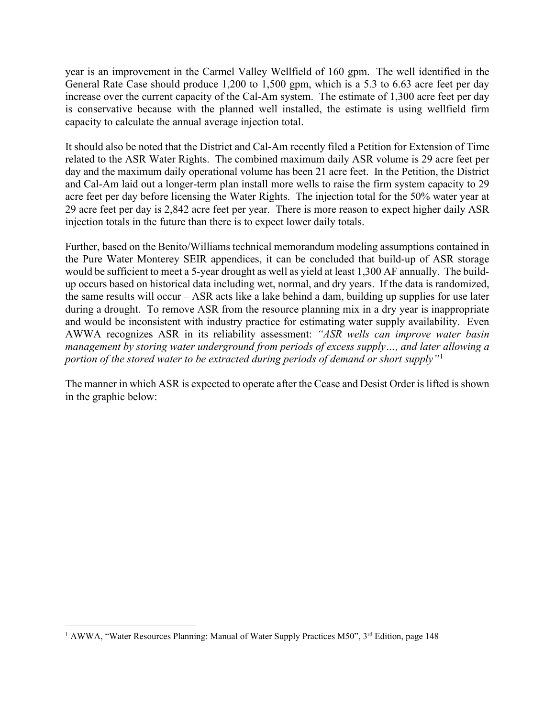year is an improvement in the Carmel Valley Wellfield of 160 gpm. The well identified in the General Rate Case should produce 1,200 to 1,500 gpm, which is a 5.3 to 6.63 acre feet per day increase over the current capacity of the Cal-Am system. The estimate of 1,300 acre feet per day is conservative because with the planned well installed, the estimate is using wellfield firm capacity to calculate the annual average injection total.

It should also be noted that the District and Cal-Am recently filed a Petition for Extension of Time related to the ASR Water Rights. The combined maximum daily ASR volume is 29 acre feet per day and the maximum daily operational volume has been 21 acre feet. In the Petition, the District and Cal-Am laid out a longer-term plan install more wells to raise the firm system capacity to 29 acre feet per day before licensing the Water Rights. The injection total for the 50% water year at 29 acre feet per day is 2,842 acre feet per year. There is more reason to expect higher daily ASR injection totals in the future than there is to expect lower daily totals.

Further, based on the Benito/Williams technical memorandum modeling assumptions contained in the Pure Water Monterey SEIR appendices, it can be concluded that build-up of ASR storage would be sufficient to meet a 5-year drought as well as yield at least 1,300 AF annually. The buildup occurs based on historical data including wet, normal, and dry years. If the data is randomized, the same results will occur – ASR acts like a lake behind a dam, building up supplies for use later during a drought. To remove ASR from the resource planning mix in a dry year is inappropriate and would be inconsistent with industry practice for estimating water supply availability. Even AWWA recognizes ASR in its reliability assessment: *"ASR wells can improve water basin management by storing water underground from periods of excess supply…, and later allowing a portion of the stored water to be extracted during periods of demand or short supply"*[1](#page-12-0)

The manner in which ASR is expected to operate after the Cease and Desist Order is lifted is shown in the graphic below:

<span id="page-12-0"></span><sup>&</sup>lt;sup>1</sup> AWWA, "Water Resources Planning: Manual of Water Supply Practices M50", 3<sup>rd</sup> Edition, page 148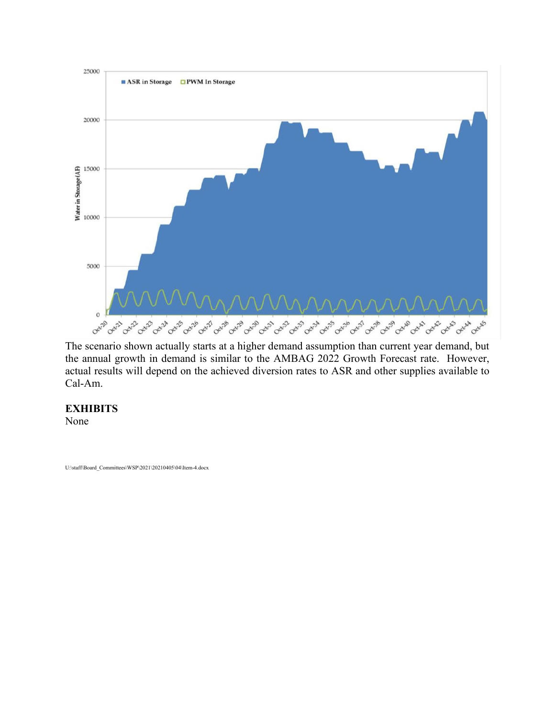

The scenario shown actually starts at a higher demand assumption than current year demand, but the annual growth in demand is similar to the AMBAG 2022 Growth Forecast rate. However, actual results will depend on the achieved diversion rates to ASR and other supplies available to Cal-Am.

## **EXHIBITS**

None

U:\staff\Board\_Committees\WSP\2021\20210405\04\Item-4.docx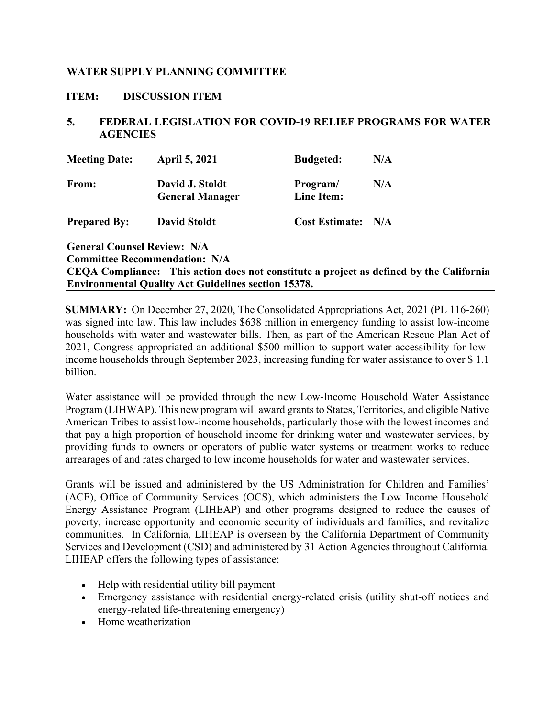### <span id="page-14-0"></span>**ITEM: DISCUSSION ITEM**

### **5. FEDERAL LEGISLATION FOR COVID-19 RELIEF PROGRAMS FOR WATER AGENCIES**

| <b>Meeting Date:</b>               | <b>April 5, 2021</b>                      | <b>Budgeted:</b>       | N/A |
|------------------------------------|-------------------------------------------|------------------------|-----|
| From:                              | David J. Stoldt<br><b>General Manager</b> | Program/<br>Line Item: | N/A |
| <b>Prepared By:</b>                | <b>David Stoldt</b>                       | <b>Cost Estimate:</b>  | N/A |
| <b>General Counsel Review: N/A</b> |                                           |                        |     |
|                                    | <b>Committee Recommendation: N/A</b>      |                        |     |

# **CEQA Compliance: This action does not constitute a project as defined by the California Environmental Quality Act Guidelines section 15378.**

**SUMMARY:** On December 27, 2020, The Consolidated Appropriations Act, 2021 (PL 116-260) was signed into law. This law includes \$638 million in emergency funding to assist low-income households with water and wastewater bills. Then, as part of the American Rescue Plan Act of 2021, Congress appropriated an additional \$500 million to support water accessibility for lowincome households through September 2023, increasing funding for water assistance to over \$ 1.1 billion.

Water assistance will be provided through the new Low-Income Household Water Assistance Program (LIHWAP). This new program will award grants to States, Territories, and eligible Native American Tribes to assist low-income households, particularly those with the lowest incomes and that pay a high proportion of household income for drinking water and wastewater services, by providing funds to owners or operators of public water systems or treatment works to reduce arrearages of and rates charged to low income households for water and wastewater services.

Grants will be issued and administered by the US Administration for Children and Families' (ACF), Office of Community Services (OCS), which administers the Low Income Household Energy Assistance Program (LIHEAP) and other programs designed to reduce the causes of poverty, increase opportunity and economic security of individuals and families, and revitalize communities. In California, LIHEAP is overseen by the California Department of Community Services and Development (CSD) and administered by 31 Action Agencies throughout California. LIHEAP offers the following types of assistance:

- Help with residential utility bill payment
- Emergency assistance with residential energy-related crisis (utility shut-off notices and energy-related life-threatening emergency)
- Home weatherization